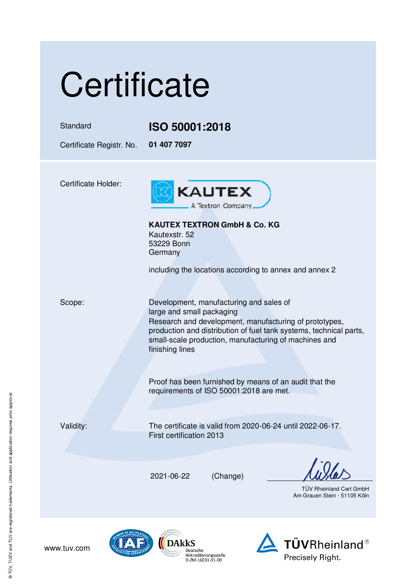## **Certificate** Standard **ISO 50001:2018**  Certificate Registr. No. **01 407 7097**  Certificate Holder: **KAUTEX** A Textron Company. **KAUTEX TEXTRON GmbH & Co. KG**  Kautexstr. 52 53229 Bonn **Germany** including the locations according to annex and annex 2 Scope: Development, manufacturing and sales of large and small packaging Research and development, manufacturing of prototypes, production and distribution of fuel tank systems, technical parts, small-scale production, manufacturing of machines and finishing lines Proof has been furnished by means of an audit that the requirements of ISO 50001:2018 are met. Validity: The certificate is valid from 2020-06-24 until 2022-06-17. First certification 2013 2021-06-22 (Change) TÜV Rheinland Cert GmbH Am Grauen Stein · 51105 Köln

**TÜVRheinland®** 

Precisely Right.



Deutsche Akkreditierungsstelle<br>D-ZM-16031-01-00

www.tuv.com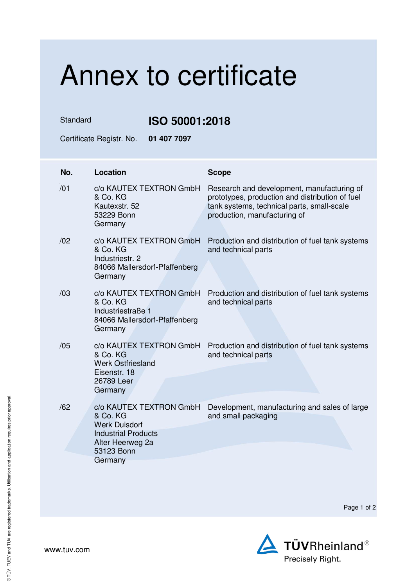## Annex to certificate

Standard **ISO 50001:2018** 

Certificate Registr. No. **01 407 7097** 

| No. | <b>Location</b>                                                                                                                        | <b>Scope</b>                                                                                                                                                                |
|-----|----------------------------------------------------------------------------------------------------------------------------------------|-----------------------------------------------------------------------------------------------------------------------------------------------------------------------------|
| /01 | c/o KAUTEX TEXTRON GmbH<br>& Co. KG<br>Kautexstr. 52<br>53229 Bonn<br>Germany                                                          | Research and development, manufacturing of<br>prototypes, production and distribution of fuel<br>tank systems, technical parts, small-scale<br>production, manufacturing of |
| /02 | c/o KAUTEX TEXTRON GmbH<br>& Co. KG<br>Industriestr. 2<br>84066 Mallersdorf-Pfaffenberg<br>Germany                                     | Production and distribution of fuel tank systems<br>and technical parts                                                                                                     |
| /03 | c/o KAUTEX TEXTRON GmbH<br>& Co. KG<br>Industriestraße 1<br>84066 Mallersdorf-Pfaffenberg<br>Germany                                   | Production and distribution of fuel tank systems<br>and technical parts                                                                                                     |
| /05 | c/o KAUTEX TEXTRON GmbH<br>& Co. KG<br><b>Werk Ostfriesland</b><br>Eisenstr, 18<br>26789 Leer<br>Germany                               | Production and distribution of fuel tank systems<br>and technical parts                                                                                                     |
| /62 | c/o KAUTEX TEXTRON GmbH<br>& Co. KG<br><b>Werk Duisdorf</b><br><b>Industrial Products</b><br>Alter Heerweg 2a<br>53123 Bonn<br>Germany | Development, manufacturing and sales of large<br>and small packaging                                                                                                        |

Page 1 of 2

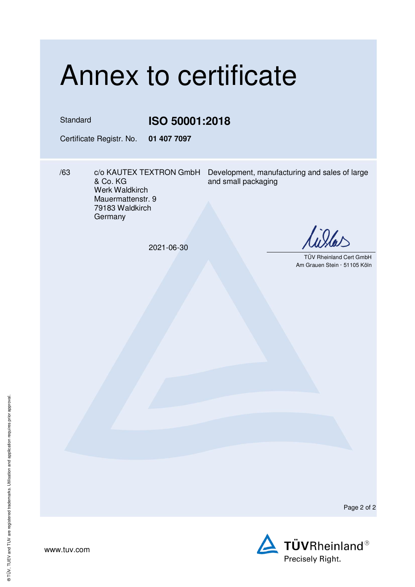## Annex to certificate

Standard **ISO 50001:2018** 

Certificate Registr. No. **01 407 7097** 

& Co. KG Werk Waldkirch Mauermattenstr. 9 79183 Waldkirch **Germany** 

/63 c/o KAUTEX TEXTRON GmbH Development, manufacturing and sales of large and small packaging

2021-06-30

 TÜV Rheinland Cert GmbH Am Grauen Stein · 51105 Köln

Page 2 of 2



www.tuv.com